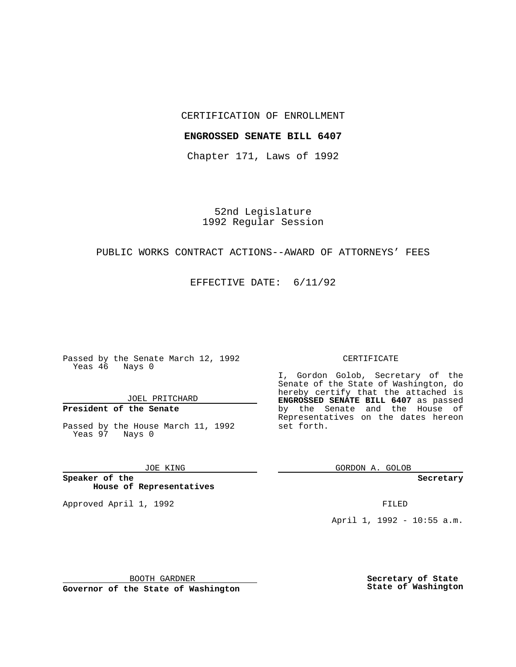## CERTIFICATION OF ENROLLMENT

### **ENGROSSED SENATE BILL 6407**

Chapter 171, Laws of 1992

52nd Legislature 1992 Regular Session

# PUBLIC WORKS CONTRACT ACTIONS--AWARD OF ATTORNEYS' FEES

EFFECTIVE DATE: 6/11/92

Passed by the Senate March 12, 1992 Yeas 46 Nays 0

## JOEL PRITCHARD

# **President of the Senate**

Passed by the House March 11, 1992 Yeas 97 Nays 0

### JOE KING

**Speaker of the House of Representatives**

Approved April 1, 1992 **FILED** 

#### CERTIFICATE

I, Gordon Golob, Secretary of the Senate of the State of Washington, do hereby certify that the attached is **ENGROSSED SENATE BILL 6407** as passed by the Senate and the House of Representatives on the dates hereon set forth.

GORDON A. GOLOB

**Secretary**

April 1, 1992 - 10:55 a.m.

BOOTH GARDNER

**Governor of the State of Washington**

**Secretary of State State of Washington**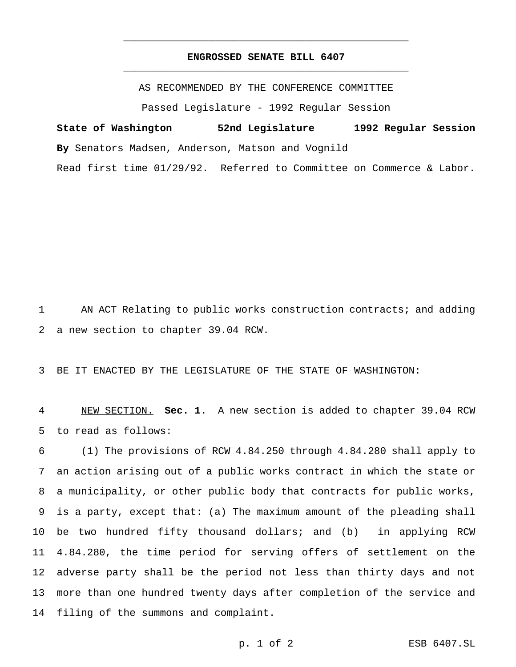# **ENGROSSED SENATE BILL 6407** \_\_\_\_\_\_\_\_\_\_\_\_\_\_\_\_\_\_\_\_\_\_\_\_\_\_\_\_\_\_\_\_\_\_\_\_\_\_\_\_\_\_\_\_\_\_\_

\_\_\_\_\_\_\_\_\_\_\_\_\_\_\_\_\_\_\_\_\_\_\_\_\_\_\_\_\_\_\_\_\_\_\_\_\_\_\_\_\_\_\_\_\_\_\_

AS RECOMMENDED BY THE CONFERENCE COMMITTEE

Passed Legislature - 1992 Regular Session

**State of Washington 52nd Legislature 1992 Regular Session By** Senators Madsen, Anderson, Matson and Vognild Read first time 01/29/92. Referred to Committee on Commerce & Labor.

AN ACT Relating to public works construction contracts; and adding

a new section to chapter 39.04 RCW.

BE IT ENACTED BY THE LEGISLATURE OF THE STATE OF WASHINGTON:

 NEW SECTION. **Sec. 1.** A new section is added to chapter 39.04 RCW to read as follows:

 (1) The provisions of RCW 4.84.250 through 4.84.280 shall apply to an action arising out of a public works contract in which the state or a municipality, or other public body that contracts for public works, is a party, except that: (a) The maximum amount of the pleading shall be two hundred fifty thousand dollars; and (b) in applying RCW 4.84.280, the time period for serving offers of settlement on the adverse party shall be the period not less than thirty days and not more than one hundred twenty days after completion of the service and filing of the summons and complaint.